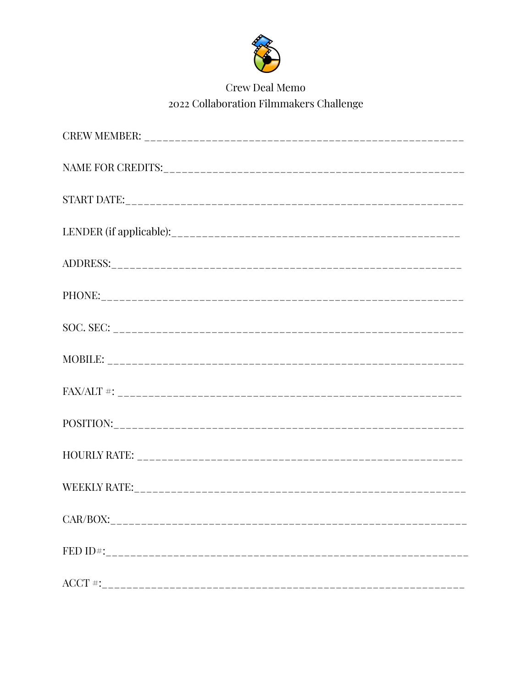

## Crew Deal Memo 2022 Collaboration Filmmakers Challenge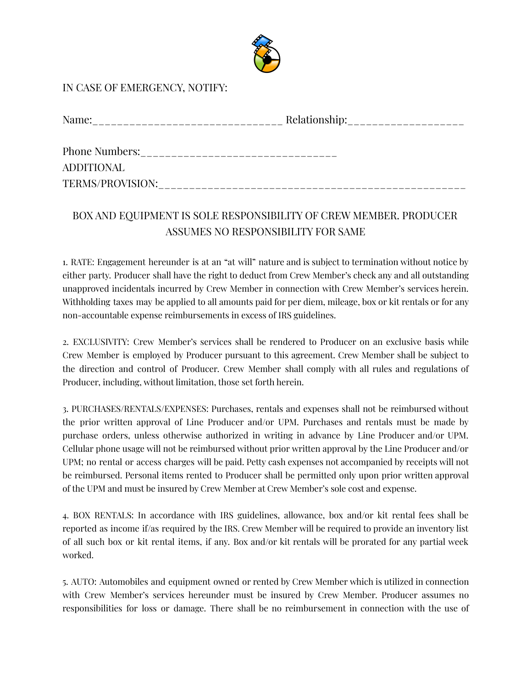

## IN CASE OF EMERGENCY, NOTIFY:

| Name:                 | Relationship: |
|-----------------------|---------------|
|                       |               |
|                       |               |
| <b>Phone Numbers:</b> |               |

| ----------------- |
|-------------------|
| ADDITIONAL        |
| TERMS/PROVISION:  |

## BOX AND EQUIPMENT IS SOLE RESPONSIBILITY OF CREW MEMBER. PRODUCER ASSUMES NO RESPONSIBILITY FOR SAME

1. RATE: Engagement hereunder is at an "at will" nature and is subject to termination without notice by either party. Producer shall have the right to deduct from Crew Member's check any and all outstanding unapproved incidentals incurred by Crew Member in connection with Crew Member's services herein. Withholding taxes may be applied to all amounts paid for per diem, mileage, box or kit rentals or for any non-accountable expense reimbursements in excess of IRS guidelines.

2. EXCLUSIVITY: Crew Member's services shall be rendered to Producer on an exclusive basis while Crew Member is employed by Producer pursuant to this agreement. Crew Member shall be subject to the direction and control of Producer. Crew Member shall comply with all rules and regulations of Producer, including, without limitation, those set forth herein.

3. PURCHASES/RENTALS/EXPENSES: Purchases, rentals and expenses shall not be reimbursed without the prior written approval of Line Producer and/or UPM. Purchases and rentals must be made by purchase orders, unless otherwise authorized in writing in advance by Line Producer and/or UPM. Cellular phone usage will not be reimbursed without prior written approval by the Line Producer and/or UPM; no rental or access charges will be paid. Petty cash expenses not accompanied by receipts will not be reimbursed. Personal items rented to Producer shall be permitted only upon prior written approval of the UPM and must be insured by Crew Member at Crew Member's sole cost and expense.

4. BOX RENTALS: In accordance with IRS guidelines, allowance, box and/or kit rental fees shall be reported as income if/as required by the IRS. Crew Member will be required to provide an inventory list of all such box or kit rental items, if any. Box and/or kit rentals will be prorated for any partial week worked.

5. AUTO: Automobiles and equipment owned or rented by Crew Member which is utilized in connection with Crew Member's services hereunder must be insured by Crew Member. Producer assumes no responsibilities for loss or damage. There shall be no reimbursement in connection with the use of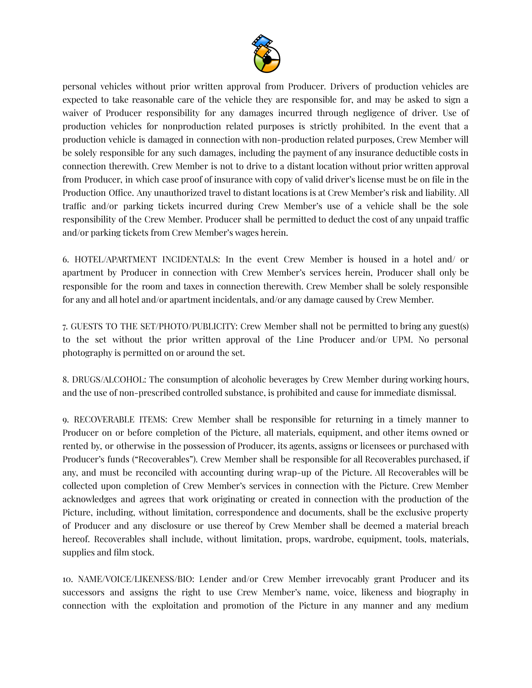

personal vehicles without prior written approval from Producer. Drivers of production vehicles are expected to take reasonable care of the vehicle they are responsible for, and may be asked to sign a waiver of Producer responsibility for any damages incurred through negligence of driver. Use of production vehicles for nonproduction related purposes is strictly prohibited. In the event that a production vehicle is damaged in connection with non-production related purposes, Crew Member will be solely responsible for any such damages, including the payment of any insurance deductible costs in connection therewith. Crew Member is not to drive to a distant location without prior written approval from Producer, in which case proof of insurance with copy of valid driver's license must be on file in the Production Office. Any unauthorized travel to distant locations is at Crew Member's risk and liability. All traffic and/or parking tickets incurred during Crew Member's use of a vehicle shall be the sole responsibility of the Crew Member. Producer shall be permitted to deduct the cost of any unpaid traffic and/or parking tickets from Crew Member's wages herein.

6. HOTEL/APARTMENT INCIDENTALS: In the event Crew Member is housed in a hotel and/ or apartment by Producer in connection with Crew Member's services herein, Producer shall only be responsible for the room and taxes in connection therewith. Crew Member shall be solely responsible for any and all hotel and/or apartment incidentals, and/or any damage caused by Crew Member.

7. GUESTS TO THE SET/PHOTO/PUBLICITY: Crew Member shall not be permitted to bring any guest(s) to the set without the prior written approval of the Line Producer and/or UPM. No personal photography is permitted on or around the set.

8. DRUGS/ALCOHOL: The consumption of alcoholic beverages by Crew Member during working hours, and the use of non-prescribed controlled substance, is prohibited and cause for immediate dismissal.

9. RECOVERABLE ITEMS: Crew Member shall be responsible for returning in a timely manner to Producer on or before completion of the Picture, all materials, equipment, and other items owned or rented by, or otherwise in the possession of Producer, its agents, assigns or licensees or purchased with Producer's funds ("Recoverables"). Crew Member shall be responsible for all Recoverables purchased, if any, and must be reconciled with accounting during wrap-up of the Picture. All Recoverables will be collected upon completion of Crew Member's services in connection with the Picture. Crew Member acknowledges and agrees that work originating or created in connection with the production of the Picture, including, without limitation, correspondence and documents, shall be the exclusive property of Producer and any disclosure or use thereof by Crew Member shall be deemed a material breach hereof. Recoverables shall include, without limitation, props, wardrobe, equipment, tools, materials, supplies and film stock.

10. NAME/VOICE/LIKENESS/BIO: Lender and/or Crew Member irrevocably grant Producer and its successors and assigns the right to use Crew Member's name, voice, likeness and biography in connection with the exploitation and promotion of the Picture in any manner and any medium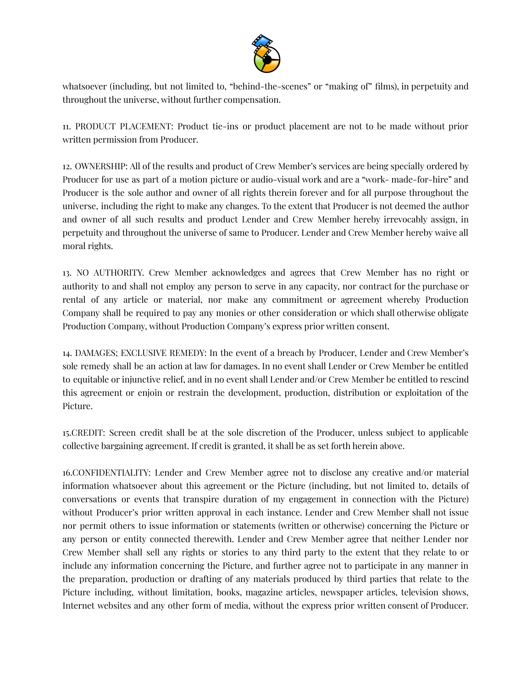

whatsoever (including, but not limited to, "behind-the-scenes" or "making of" films), in perpetuity and throughout the universe, without further compensation.

11. PRODUCT PLACEMENT: Product tie-ins or product placement are not to be made without prior written permission from Producer.

12. OWNERSHIP: All of the results and product of Crew Member's services are being specially ordered by Producer for use as part of a motion picture or audio-visual work and are a "work- made-for-hire" and Producer is the sole author and owner of all rights therein forever and for all purpose throughout the universe, including the right to make any changes. To the extent that Producer is not deemed the author and owner of all such results and product Lender and Crew Member hereby irrevocably assign, in perpetuity and throughout the universe of same to Producer. Lender and Crew Member hereby waive all moral rights.

13. NO AUTHORITY. Crew Member acknowledges and agrees that Crew Member has no right or authority to and shall not employ any person to serve in any capacity, nor contract for the purchase or rental of any article or material, nor make any commitment or agreement whereby Production Company shall be required to pay any monies or other consideration or which shall otherwise obligate Production Company, without Production Company's express prior written consent.

14. DAMAGES; EXCLUSIVE REMEDY: In the event of a breach by Producer, Lender and Crew Member's sole remedy shall be an action at law for damages. In no event shall Lender or Crew Member be entitled to equitable or injunctive relief, and in no event shall Lender and/or Crew Member be entitled to rescind this agreement or enjoin or restrain the development, production, distribution or exploitation of the Picture.

15.CREDIT: Screen credit shall be at the sole discretion of the Producer, unless subject to applicable collective bargaining agreement. If credit is granted, it shall be as set forth herein above.

16.CONFIDENTIALITY: Lender and Crew Member agree not to disclose any creative and/or material information whatsoever about this agreement or the Picture (including, but not limited to, details of conversations or events that transpire duration of my engagement in connection with the Picture) without Producer's prior written approval in each instance. Lender and Crew Member shall not issue nor permit others to issue information or statements (written or otherwise) concerning the Picture or any person or entity connected therewith. Lender and Crew Member agree that neither Lender nor Crew Member shall sell any rights or stories to any third party to the extent that they relate to or include any information concerning the Picture, and further agree not to participate in any manner in the preparation, production or drafting of any materials produced by third parties that relate to the Picture including, without limitation, books, magazine articles, newspaper articles, television shows, Internet websites and any other form of media, without the express prior written consent of Producer.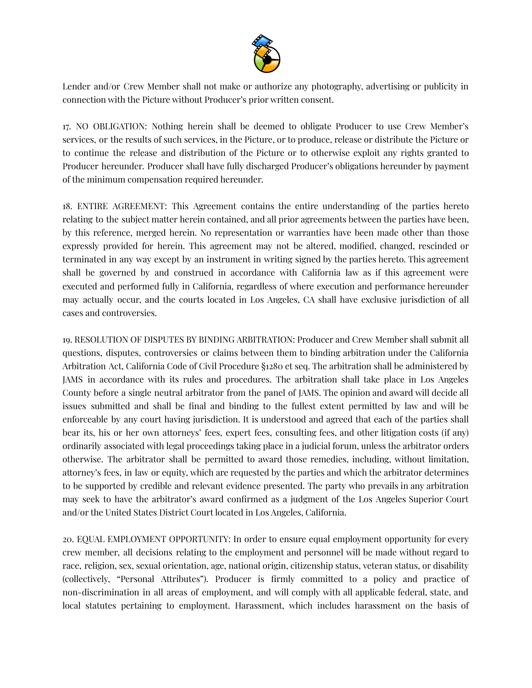

Lender and/or Crew Member shall not make or authorize any photography, advertising or publicity in connection with the Picture without Producer's prior written consent.

17. NO OBLIGATION: Nothing herein shall be deemed to obligate Producer to use Crew Member's services, or the results of such services, in the Picture, or to produce, release or distribute the Picture or to continue the release and distribution of the Picture or to otherwise exploit any rights granted to Producer hereunder. Producer shall have fully discharged Producer's obligations hereunder by payment of the minimum compensation required hereunder.

18. ENTIRE AGREEMENT: This Agreement contains the entire understanding of the parties hereto relating to the subject matter herein contained, and all prior agreements between the parties have been, by this reference, merged herein. No representation or warranties have been made other than those expressly provided for herein. This agreement may not be altered, modified, changed, rescinded or terminated in any way except by an instrument in writing signed by the parties hereto. This agreement shall be governed by and construed in accordance with California law as if this agreement were executed and performed fully in California, regardless of where execution and performance hereunder may actually occur, and the courts located in Los Angeles, CA shall have exclusive jurisdiction of all cases and controversies.

19. RESOLUTION OF DISPUTES BY BINDING ARBITRATION: Producer and Crew Member shall submit all questions, disputes, controversies or claims between them to binding arbitration under the California Arbitration Act, California Code of Civil Procedure §1280 et seq. The arbitration shall be administered by JAMS in accordance with its rules and procedures. The arbitration shall take place in Los Angeles County before a single neutral arbitrator from the panel of JAMS. The opinion and award will decide all issues submitted and shall be final and binding to the fullest extent permitted by law and will be enforceable by any court having jurisdiction. It is understood and agreed that each of the parties shall bear its, his or her own attorneys' fees, expert fees, consulting fees, and other litigation costs (if any) ordinarily associated with legal proceedings taking place in a judicial forum, unless the arbitrator orders otherwise. The arbitrator shall be permitted to award those remedies, including, without limitation, attorney's fees, in law or equity, which are requested by the parties and which the arbitrator determines to be supported by credible and relevant evidence presented. The party who prevails in any arbitration may seek to have the arbitrator's award confirmed as a judgment of the Los Angeles Superior Court and/or the United States District Court located in Los Angeles, California.

20. EQUAL EMPLOYMENT OPPORTUNITY: In order to ensure equal employment opportunity for every crew member, all decisions relating to the employment and personnel will be made without regard to race, religion, sex, sexual orientation, age, national origin, citizenship status, veteran status, or disability (collectively, "Personal Attributes"). Producer is firmly committed to a policy and practice of non-discrimination in all areas of employment, and will comply with all applicable federal, state, and local statutes pertaining to employment. Harassment, which includes harassment on the basis of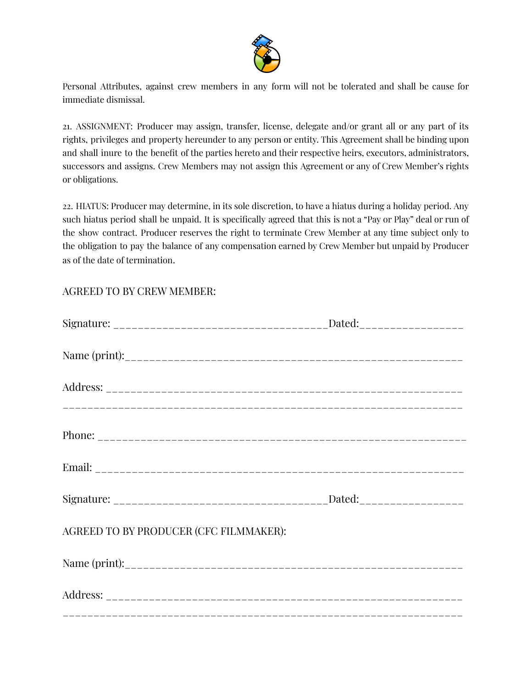

Personal Attributes, against crew members in any form will not be tolerated and shall be cause for immediate dismissal.

21. ASSIGNMENT: Producer may assign, transfer, license, delegate and/or grant all or any part of its rights, privileges and property hereunder to any person or entity. This Agreement shall be binding upon and shall inure to the benefit of the parties hereto and their respective heirs, executors, administrators, successors and assigns. Crew Members may not assign this Agreement or any of Crew Member's rights or obligations.

22. HIATUS: Producer may determine, in its sole discretion, to have a hiatus during a holiday period. Any such hiatus period shall be unpaid. It is specifically agreed that this is not a "Pay or Play" deal or run of the show contract. Producer reserves the right to terminate Crew Member at any time subject only to the obligation to pay the balance of any compensation earned by Crew Member but unpaid by Producer as of the date of termination.

## AGREED TO BY CREW MEMBER: